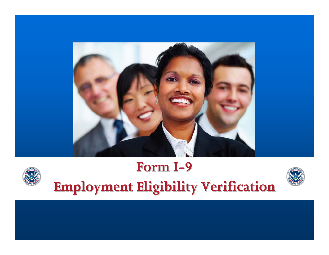



# **Form I - 9 Employment Eligibility Verification Employment Eligibility Verification**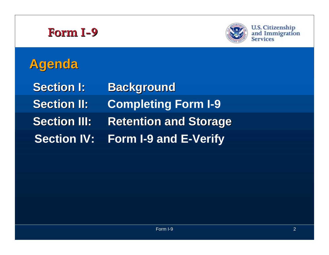

U.S. Citizenship<br>and Immigration<br>Services

# **Agenda**

**Section I: Background Section II: Completing Form I-9 Section III: Retention and Storage Section IV: Form I-9 and E-Verify**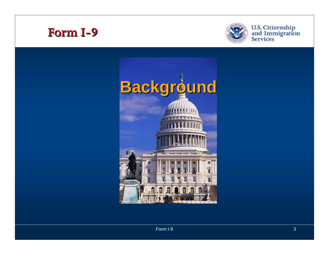



U.S. Citizenship<br>and Immigration<br>Services

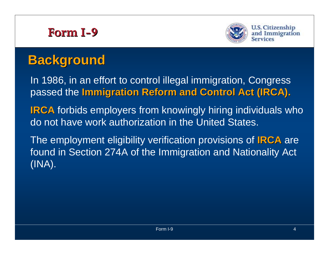



# **Background Background**

In 1986, in an effort to control illegal immigration, Congress passed the **Immigration Reform and Control Act (IRCA). Immigration Reform and Control Act (IRCA).**

**IRCA** forbids employers from knowingly hiring individuals who do not have work authorization in the United States.

The employment eligibility verification provisions of **IRCA** are found in Section 274A of the Immigration and Nationality Act (INA).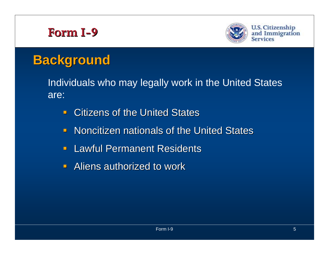

**U.S. Citizenship** and Immigration Services

# **Background Background**

Individuals who may legally work in the United States are:

- $\blacksquare$ **EXECTE Citizens of the United States**
- **Noncitizen nationals of the United States**
- **Lawful Permanent Residents**
- **Aliens authorized to work**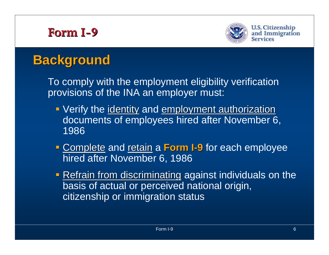

# **Background Background**

To comply with the employment eligibility verification provisions of the INA an employer must:

- **Verify the identity and employment authorization** documents of employees hired after November 6, 1986
- **Examplete and retain a Form I - 9** for each employee hired after November 6, 1986
- **Refrain from discriminating against individuals on the** basis of actual or perceived national origin, citizenship or immigration status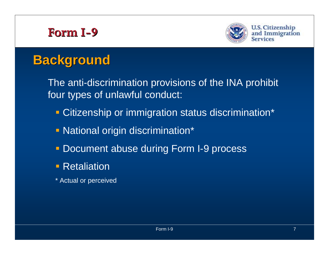

**U.S. Citizenship** and Immigration **Services** 

# **Background Background**

The anti-discrimination provisions of the INA prohibit four types of unlawful conduct:

- **Example 2 Fig. 2 Fig. 2 Fig. 2 Fig. 2 Fig. 2 Fig. 2 Fig. 2 Fig. 2 Fig. 2 Fig. 2 Fig. 2 Fig. 2 Fig. 2 Fig. 2 Fig. 2 Fig. 2 Fig. 2 Fig. 2 Fig. 2 Fig. 2 Fig. 2 Fig. 2 Fig. 2 Fig. 2 Fig. 2 Fig. 2 Fig. 2 Fig. 2 Fig. 2 Fig. 2 F**
- **National origin discrimination\***
- **Document abuse during Form I-9 process**
- **Retaliation**
- \* Actual or perceived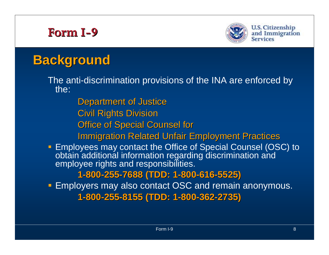

# **Background Background**

The anti-discrimination provisions of the INA are enforced by the:

**Department of Justice** 

**Civil Rights Division** 

**Office of Special Counsel for** 

**Immigration Related Unfair Employment Practices** 

■ Employees may contact the Office of Special Counsel (OSC) to obtain additional information regarding discrimination and employee rights and responsibilities.

**1 -800 -255 -7688 (TDD: 1 7688 (TDD: 1 -800 -616 -5525)**

**Employers may also contact OSC and remain anonymous. 1 -800 -255 -8155 (TDD: 1 8155 (TDD: 1 -800 -362 -2735)**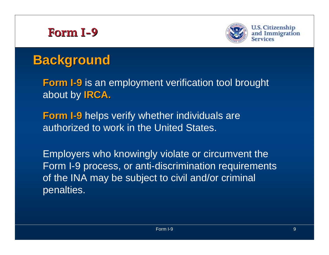

**U.S. Citizenship** and Immigration

# **Background Background**

**Form I-9** is an employment verification tool brought about by **IRCA.** 

**Form I-9** helps verify whether individuals are authorized to work in the United States.

Employers who knowingly violate or circumvent the Form I-9 process, or anti-discrimination requirements of the INA may be subject to civil and/or criminal penalties.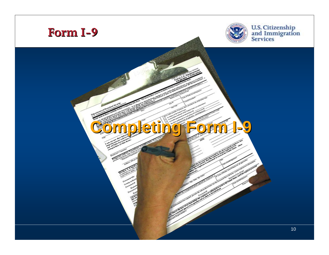



U.S. Citizenship<br>and Immigration<br>Services

### **Completing Form I Completing Form I 9**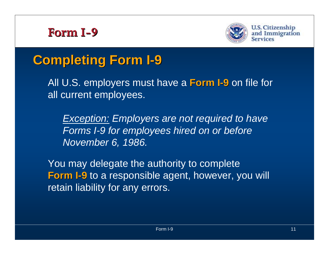



#### **Completing Form I Completing Form I 9**

All U.S. employers must have a **Form I - 9** on file for all current employees.

*Exception: Employers are not required to have Forms I-9 for employees hired on or before November 6, 1986.*

You may delegate the authority to complete **Form I-9** to a responsible agent, however, you will retain liability for any errors.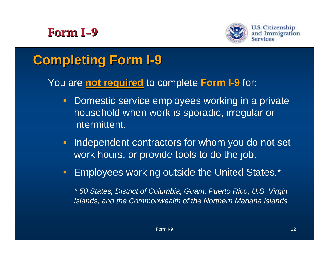

#### **Completing Form I Completing Form I 9**

#### You are **not required not required** to complete **Form I - 9** for:

- $\blacksquare$  Domestic service employees working in a private household when work is sporadic, irregular or intermittent.
- $\blacksquare$  Independent contractors for whom you do not set work hours, or provide tools to do the job.
- $\blacksquare$ Employees working outside the United States.\*

*\* 50 States, District of Columbia, Guam, Puerto Rico, U.S. Virgin Islands, and the Commonwealth of the Northern Mariana Islands*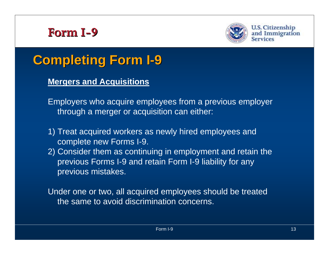



#### **Completing Form I Completing Form I 9**

### **Mergers and Acquisitions**

- Employers who acquire employees from a previous employer through a merger or acquisition can either:
- 1) Treat acquired workers as newly hired employees and complete new Forms I-9.
- 2) Consider them as continuing in employment and retain the previous Forms I-9 and retain Form I-9 liability for any previous mistakes.

Under one or two, all acquired employees should be treated the same to avoid discrimination concerns.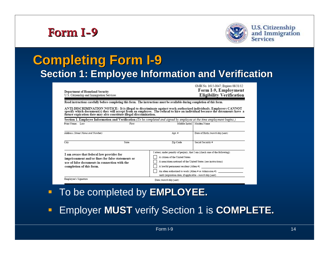

**U.S. Citizenship** and Immigration<br>Services

#### **Completing Form I Completing Form I 9 Section 1: Employee Information and Verification**

| Department of Homeland Security<br>U.S. Citizenship and Immigration Services |
|------------------------------------------------------------------------------|
|                                                                              |
|                                                                              |

OMB No. 1615-0047; Expires 08/31/12 Form I-9, Employment **Eligibility Verification** 

Read instructions carefully before completing this form. The instructions must be available during completion of this form.

ANTI-DISCRIMINATION NOTICE: It is illegal to discriminate against work-authorized individuals. Employers CANNOT specify which document(s) they will accept from an employee. The refusal to hire an individual because the documents have a future expiration date may also constitute illegal discrimination.

|                                                                                                                                                                            |       | Section 1. Employee Information and Verification (To be completed and signed by employee at the time employment begins.)                                                                                                                                                                                                                   |                                |
|----------------------------------------------------------------------------------------------------------------------------------------------------------------------------|-------|--------------------------------------------------------------------------------------------------------------------------------------------------------------------------------------------------------------------------------------------------------------------------------------------------------------------------------------------|--------------------------------|
| Print Name: Last                                                                                                                                                           | First | Middle Initial                                                                                                                                                                                                                                                                                                                             | Maiden Name                    |
| Address (Street Name and Number)                                                                                                                                           |       | Apt. #                                                                                                                                                                                                                                                                                                                                     | Date of Birth (month/day/year) |
| City                                                                                                                                                                       | State | Zip Code                                                                                                                                                                                                                                                                                                                                   | Social Security #              |
| I am aware that federal law provides for<br>imprisonment and/or fines for false statements or<br>use of false documents in connection with the<br>completion of this form. |       | I attest, under penalty of perjury, that I am (check one of the following):<br>A citizen of the United States<br>A noncitizen national of the United States (see instructions)<br>A lawful permanent resident (Alien #)<br>An alien authorized to work (Alien # or Admission #)<br>until (expiration date, if applicable - month/day/year) |                                |
| Employee's Signature                                                                                                                                                       |       | Date (month/day/year)                                                                                                                                                                                                                                                                                                                      |                                |

- $\blacksquare$ To be completed by **EMPLOYEE.**
- П Employer **MUST** verify Section 1 is **COMPLETE. COMPLETE.**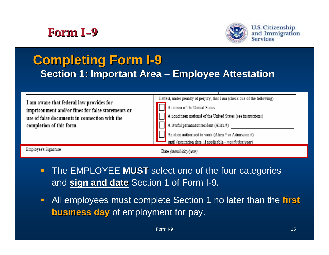



#### **Completing Form I Completing Form I 9 Section 1: Important Area**  $\cdot$ **–Employee Attestation Employee Attestation**

| I am aware that federal law provides for<br>imprisonment and/or fines for false statements or<br>use of false documents in connection with the<br>completion of this form. | I attest, under penalty of perjury, that I am (check one of the following):<br>A citizen of the United States<br>A noncitizen national of the United States (see instructions)<br>A lawful permanent resident (Alien #)<br>An alien authorized to work (Alien # or Admission #)<br>until (expiration date, if applicable - month/day/year) |
|----------------------------------------------------------------------------------------------------------------------------------------------------------------------------|--------------------------------------------------------------------------------------------------------------------------------------------------------------------------------------------------------------------------------------------------------------------------------------------------------------------------------------------|
| Employee's Signature                                                                                                                                                       | Date (month/day/year)                                                                                                                                                                                                                                                                                                                      |

- $\blacksquare$  The EMPLOYEE **MUST** select one of the four categories and **sign and date sign and date** Section 1 of Form I-9.
- $\blacksquare$  All employees must complete Section 1 no later than the **first business day business day** of employment for pay.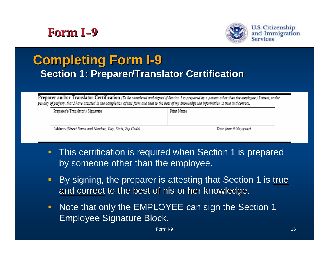



#### **Completing Form I Completing Form I 9 Section 1: Preparer/Translator Certification Section 1: Preparer/Translator Certification**

Preparer and/or Translator Certification (To be completed and signed if Section 1 is prepared by a person other than the employee.) I attest, under penalty of perjury, that I have assisted in the completion of this form and that to the best of my knowledge the information is true and correct.

| Print Name |                       |
|------------|-----------------------|
|            |                       |
|            | Date (month/day/year) |
|            |                       |

- $\blacksquare$  This certification is required when Section 1 is prepared by someone other than the employee.
- $\blacksquare$ By signing, the preparer is attesting that Section 1 is true and correct to the best of his or her knowledge.
- $\blacksquare$  Note that only the EMPLOYEE can sign the Section 1 Employee Signature Block.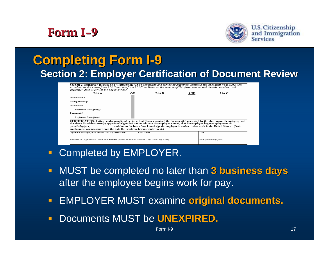



#### **Completing Form I Completing Form I 9 Section 2: Employer Certification of Document Review**

| Section 2. Employer Review and Verification (To be completed and signed by employer. Examine one document from List A OR       |
|--------------------------------------------------------------------------------------------------------------------------------|
| examine one document from List B and one from List C, as listed on the reverse of this form, and record the title, number, and |
| expiration date, if any, of the document(s).)                                                                                  |

| List A                                                                                                                                                                                                                                                                                                                                                           | ОR | List B     | AND   | List C                                                                                               |
|------------------------------------------------------------------------------------------------------------------------------------------------------------------------------------------------------------------------------------------------------------------------------------------------------------------------------------------------------------------|----|------------|-------|------------------------------------------------------------------------------------------------------|
| Document title:                                                                                                                                                                                                                                                                                                                                                  |    |            |       |                                                                                                      |
| Issuing authority:                                                                                                                                                                                                                                                                                                                                               |    |            |       |                                                                                                      |
| Document#:                                                                                                                                                                                                                                                                                                                                                       |    |            |       |                                                                                                      |
| Expiration Date (if any):                                                                                                                                                                                                                                                                                                                                        |    |            |       |                                                                                                      |
| Document #:                                                                                                                                                                                                                                                                                                                                                      |    |            |       |                                                                                                      |
| Expiration Date (if any):                                                                                                                                                                                                                                                                                                                                        |    |            |       |                                                                                                      |
| CERTIFICATION: I attest, under penalty of perjury, that I have examined the document(s) presented by the above-named employee, that<br>the above-listed document(s) appear to be genuine and to relate to the employee named, that the employee began employment on<br>(month/day/year)<br>employment agencies may omit the date the employee began employment.) |    |            |       | and that to the best of my knowledge the employee is authorized to work in the United States. (State |
| Signature of Employer or Authorized Representative                                                                                                                                                                                                                                                                                                               |    | Print Name | Title |                                                                                                      |
| Business or Organization Name and Address (Street Name and Number, City, State, Zip Code)                                                                                                                                                                                                                                                                        |    |            |       | Date (month/day/year)                                                                                |

- $\blacksquare$ Completed by EMPLOYER.
- $\blacksquare$  MUST be completed no later than **3 business days 3 business days** after the employee begins work for pay.
- $\blacksquare$ EMPLOYER MUST examine **original documents. original documents.**
- $\blacksquare$ **E** Documents MUST be UNEXPIRED.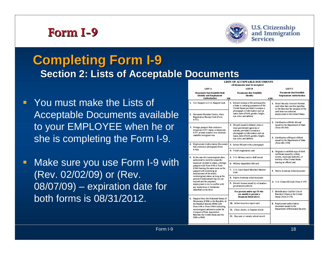

**U.S. Citizenship** and Immigration

#### **Completing Form I Completing Form I 9 Section 2: Lists of Acceptable Documents**

- $\blacksquare$  You must make the Lists of Acceptable Documents available to your EMPLOYEE when he or she is completing the Form I-9.
- $\Box$  Make sure you use Form I-9 with (Rev. 02/02/09) or (Rev. 08/07/09) – expiration date for both forms is 08/31/2012.

|                                                                                                                   | <b>LISTS OF ACCEPTABLE DOCUMENTS</b>                                                                                                                           |                                                                                                                                               |
|-------------------------------------------------------------------------------------------------------------------|----------------------------------------------------------------------------------------------------------------------------------------------------------------|-----------------------------------------------------------------------------------------------------------------------------------------------|
| LIST A                                                                                                            | All documents must be unexpired<br><b>LIST B</b>                                                                                                               | LIST <sub>C</sub>                                                                                                                             |
| Documents that Establish Both<br><b>Identity and Employment</b><br>Authorization                                  | Documents that Establish<br>Identity<br>OR                                                                                                                     | Documents that Establish<br>Employment Authorization<br><b>AND</b>                                                                            |
| 1. U.S. Passport or U.S. Passport Card                                                                            | 1. Driver's license or ID card issued by<br>a State or outlying possession of the<br>United States provided it contains a<br>photograph or information such as | Social Security Account Number<br>L.<br>card other than one that specifies<br>on the face that the issuance of the<br>card does not authorize |
| 2. Permanent Resident Card or Alien<br>Registration Receipt Card (Form<br>$1-55D$                                 | name, date of birth, gender, height,<br>eye color, and address                                                                                                 | employment in the United States                                                                                                               |
| 3. Foreign passport that contains a<br>temporary I-551 stamp or temporary<br>I-551 printed notation on a machine- | 2. ID card issued by federal, state or<br>local government agencies or<br>entities, provided it contains a<br>photograph or information such as                | 2. Certification of Birth Abroad<br>issued by the Department of State<br>(Form FS-545)                                                        |
| readable immigrant visa                                                                                           | name, date of birth, gender, height,<br>eye color, and address                                                                                                 | 3. Certification of Report of Birth<br>issued by the Department of State                                                                      |
| 4. Employment Authorization Document<br>that contains a photograph (Form                                          | 3. School ID card with a photograph                                                                                                                            | (Form DS-1350)                                                                                                                                |
| 1.766                                                                                                             | 4. Voter's registration card                                                                                                                                   | 4 Original or certified copy of birth<br>certificate issued by a State,                                                                       |
| 5. In the case of a nonimmigrant alien<br>authorized to work for a specific                                       | 5. U.S. Military card or draft record                                                                                                                          | county, municipal authority, or<br>temitory of the United States                                                                              |
| employer incident to status, a foreign<br>passport with Form I-94 or Form                                         | 6. Military dependent's ID card                                                                                                                                | bearing an official seal                                                                                                                      |
| I-94A bearing the same name as the<br>passport and containing an<br>endoesement of the allen's                    | 7. U.S. Coast Guard Merchant Mariner<br>Card                                                                                                                   | 5. Native American tribal document                                                                                                            |
| nonimmigrant status, as long as the<br>period of endorsement has not yet                                          | 8. Native American tribal document                                                                                                                             |                                                                                                                                               |
| expired and the proposed<br>employment is not in conflict with<br>any restrictions or limitations                 | 9. Driver's license issued by a Canadian<br>government authority                                                                                               | 6. U.S. Citizen ID Card (Form I-197)                                                                                                          |
| identified on the form<br>6. Passport from the Federated States of                                                | For persons under age 18 who<br>are unable to present a<br>document listed above:                                                                              | 7. Mertification Card for Use of<br>Resident Citizen in the United<br>States (Form 1-179)                                                     |
| Micronesia (FSM) or the Republic of<br>the Marshall Islands (RMD with<br>Form I-94 or Form I-94A indicating       | 10 School record or report card                                                                                                                                | 8. Employment authorization<br>document issued by the<br>Department of Hameland Security                                                      |
| nonimmigrant admission under the<br>Connact of Free Association                                                   | 11. Clinic, doctor, or hospital record                                                                                                                         |                                                                                                                                               |
| Between the United States and the<br><b>FSM or RMI</b>                                                            | 12. Day-care or nursery school record                                                                                                                          |                                                                                                                                               |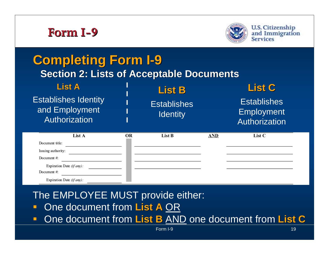

Document #:

Document #:

Expiration Date  $(ifam)$ :

Expiration Date (if any):



#### **Completing Form I Completing Form I 9 Section 2: Lists of Acceptable Documents**

| <b>List A</b><br><b>Establishes Identity</b><br>and Employment<br>Authorization |    | <b>List B</b><br><b>Establishes</b><br><b>Identity</b> |     | <b>List C</b><br><b>Establishes</b><br><b>Employment</b><br>Authorization |  |
|---------------------------------------------------------------------------------|----|--------------------------------------------------------|-----|---------------------------------------------------------------------------|--|
| List A                                                                          | OR | List B                                                 | AND | List C                                                                    |  |
| Document title:<br>Issuing suthority:                                           |    |                                                        |     |                                                                           |  |

The EMPLOYEE MUST provide either:

- $\blacksquare$ One document from **List A** OR
- $\blacksquare$ One document from **List B** AND one document from **List C**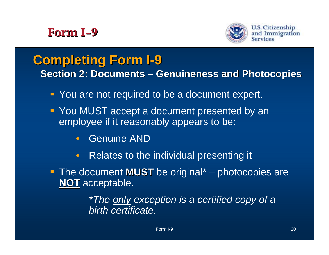



**U.S. Citizenship** and Immigration

#### **Completing Form I Completing Form I 9**

**Section 2: Documents – – Genuineness and Photocopies** 

- **P** You are not required to be a document expert.
- **P** You MUST accept a document presented by an employee if it reasonably appears to be:
	- $\bullet$ Genuine AND
	- $\bullet$ Relates to the individual presenting it
- **The document MUST** be original<sup>\*</sup> photocopies are **NOT** acceptable.

*\*The only exception is a certified copy of a birth certificate.*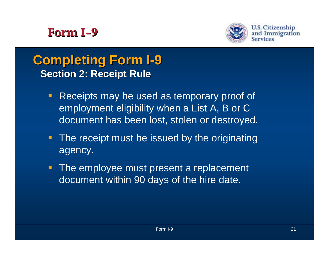



#### **Completing Form I Completing Form I 9 Section 2: Receipt Rule**

- $\blacksquare$  Receipts may be used as temporary proof of employment eligibility when a List A, B or C document has been lost, stolen or destroyed.
- **The receipt must be issued by the originating** agency.
- **The employee must present a replacement** document within 90 days of the hire date.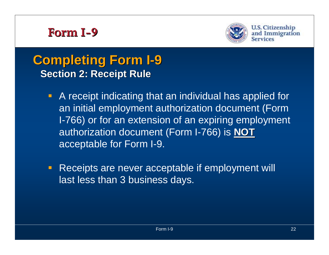



#### **Completing Form I Completing Form I 9 Section 2: Receipt Rule**

- A receipt indicating that an individual has applied for an initial employment authorization document (Form I-766) or for an extension of an expiring employment authorization document (Form I-766) is **NOT** acceptable for Form I-9.
- **Receipts are never acceptable if employment will** last less than 3 business days.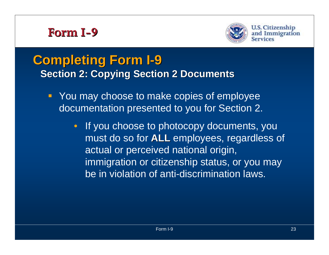

**U.S. Citizenship** and Immigration

### **Completing Form I Completing Form I 9 Section 2: Copying Section 2 Documents**

- **You may choose to make copies of employee** documentation presented to you for Section 2.
	- If you choose to photocopy documents, you must do so for **ALL** employees, regardless of actual or perceived national origin, immigration or citizenship status, or you may be in violation of anti-discrimination laws.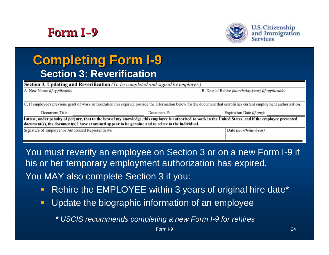



#### **Completing Form I Completing Form I 9 Section 3: Reverification Section 3: Reverification**

| <b>Section 3. Updating and Reverification</b> (To be completed and signed by employer.)            |              |                                                                                                                                                                      |
|----------------------------------------------------------------------------------------------------|--------------|----------------------------------------------------------------------------------------------------------------------------------------------------------------------|
| A. New Name (if applicable)                                                                        |              | B. Date of Rehire (month/day/year) (if applicable)                                                                                                                   |
|                                                                                                    |              |                                                                                                                                                                      |
|                                                                                                    |              | C. If employee's previous grant of work authorization has expired, provide the information below for the document that establishes current employment authorization. |
|                                                                                                    |              |                                                                                                                                                                      |
| Document Title:                                                                                    | Document $#$ | Expiration Date (if any):                                                                                                                                            |
|                                                                                                    |              | I attest, under penalty of perjury, that to the best of my knowledge, this employee is authorized to work in the United States, and if the employee presented        |
| document(s), the document(s) I have examined appear to be genuine and to relate to the individual. |              |                                                                                                                                                                      |
| Signature of Employer or Authorized Representative                                                 |              | Date (month/day/year)                                                                                                                                                |

You must reverify an employee on Section 3 or on a new Form I-9 if his or her temporary employment authorization has expired. You MAY also complete Section 3 if you:

- $\blacksquare$ Rehire the EMPLOYEE within 3 years of original hire date\*
- $\blacksquare$ Update the biographic information of an employee

*<sup>\*</sup> USCIS recommends completing a new Form I-9 for rehires*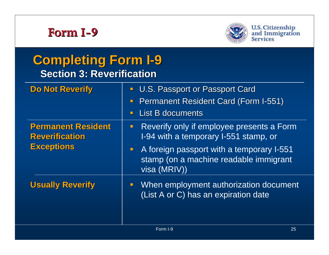

### **Completing Form I Completing Form I 9 Section 3: Reverification Section 3: Reverification**

| <b>Do Not Reverify</b>                             | <b>U.S. Passport or Passport Card</b>                                                                                 |
|----------------------------------------------------|-----------------------------------------------------------------------------------------------------------------------|
|                                                    | <b>Permanent Resident Card (Form I-551)</b><br>$\Box$                                                                 |
|                                                    | <b>List B documents</b><br>$\blacksquare$                                                                             |
| <b>Permanent Resident</b><br><b>Reverification</b> | Reverify only if employee presents a Form<br>I-94 with a temporary I-551 stamp, or                                    |
| <b>Exceptions</b>                                  | A foreign passport with a temporary I-551<br>$\blacksquare$<br>stamp (on a machine readable immigrant<br>visa (MRIV)) |
| <b>Usually Reverify</b>                            | When employment authorization document<br>$\blacksquare$<br>(List A or C) has an expiration date                      |
|                                                    |                                                                                                                       |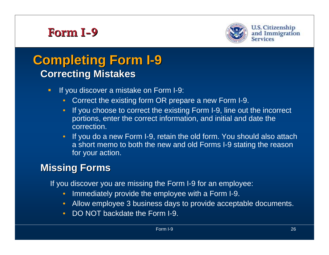

### **Completing Form I Completing Form I 9 Correcting Mistakes**

- $\blacksquare$  If you discover a mistake on Form I-9:
	- $\bullet$ Correct the existing form OR prepare a new Form I-9.
	- • If you choose to correct the existing Form I-9, line out the incorrect portions, enter the correct information, and initial and date the correction.
	- • If you do a new Form I-9, retain the old form. You should also attach a short memo to both the new and old Forms I-9 stating the reason for your action.

### **Missing Forms**

If you discover you are missing the Form I-9 for an employee:

- $\bullet$ Immediately provide the employee with a Form I-9.
- $\bullet$ Allow employee 3 business days to provide acceptable documents.
- DO NOT backdate the Form I-9.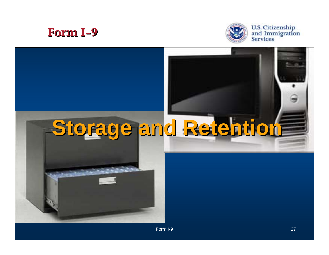



U.S. Citizenship<br>and Immigration<br>Services

# **Storage and Retention Storage and Retention**

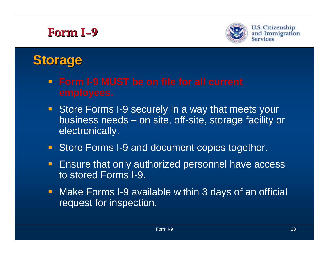

**U.S. Citizenship** and Immigration Services

# **Storage Storage**

- **Form I-9 MUST be on file for all current**
- Store Forms I-9 securely in a way that meets your business needs – on site, off-site, storage facility or electronically.
- **Store Forms I-9 and document copies together.**
- $\blacksquare$  Ensure that only authorized personnel have access to stored Forms I-9.
- **Make Forms I-9 available within 3 days of an official** request for inspection.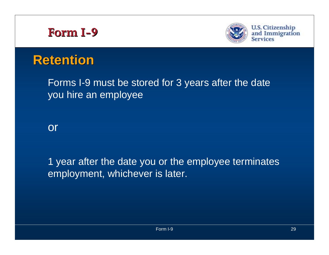



**U.S. Citizenship** and Immigration **Services** 

# **Retention Retention**

Forms I-9 must be stored for 3 years after the date you hire an employee

or

1 year after the date you or the employee terminates employment, whichever is later.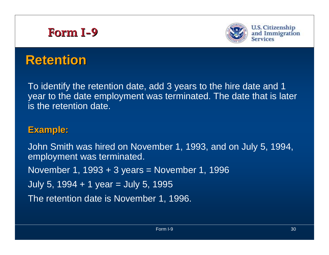

# **Retention Retention**

To identify the retention date, add 3 years to the hire date and 1 year to the date employment was terminated. The date that is later is the retention date.

### **Example: Example:**

John Smith was hired on November 1, 1993, and on July 5, 1994, employment was terminated. November 1, 1993 + 3 years = November 1, 1996 July 5, 1994 + 1 year = July 5, 1995 The retention date is November 1, 1996.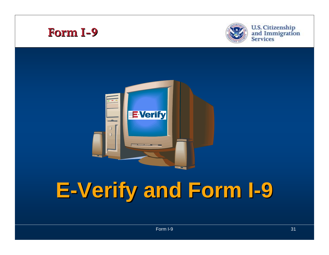



U.S. Citizenship<br>and Immigration<br>Services



#### **E -Verify and Form I Verify and Form I 9**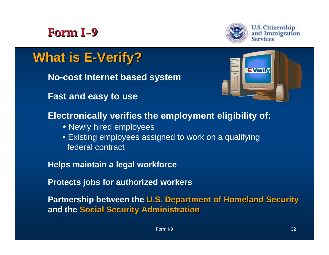

**U.S. Citizenship** and Immigration Services

# **What is E What is E -Verify? Verify?**

**No-cost Internet based system**

**Fast and easy to use**



### **Electronically verifies the employment eligibility of:**

- Newly hired employees
- Existing employees assigned to work on a qualifying federal contract

**Helps maintain a legal workforce**

**Protects jobs for authorized workers**

**Partnership between the U.S. Department of Homeland Security and the Social Security Administration**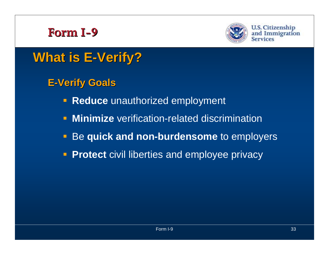



**U.S. Citizenship** and Immigration

# **What is E What is E -Verify? Verify?**

- **E -Verify Goals Verify Goals**
	- **Reduce** unauthorized employment
	- $\blacksquare$ **Minimize** verification-related discrimination
	- $\blacksquare$ Be **quick and non-burdensome** to employers
	- **Protect** civil liberties and employee privacy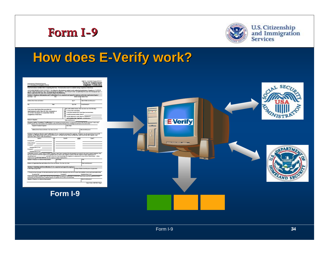



U.S. Citizenship<br>and Immigration<br>Services

# **How does E How does E -Verify work? Verify work?**

| Read instructions carefully before completing this form. The instructions must be available during completion of this form.<br>ANTI-DISCRIMINATION NOTICE: It is illegal to discriminate against work-authorized individuals. Employers CANNOT<br>specify which decument(s) they will accept from an engivyce. The refusal to hire an individual because the decuments have a<br>future expiration date may also constitute fliegal discrimination.<br>Section 1. Employee Information and Verification (To be completed and signed by employee at the time employment begins.)<br>Print Name: Last<br>First<br>Address (Dream Many and Nander)<br>City<br>$\overline{u}$<br>I am aware that federal law provides for<br>imarisonment and/or fines for false statements or<br>use of false documents in connection with the<br>completion of this form.<br><b>Employer's Signature</b><br>Date (recruit/displace)<br>Proparer and/or Translator Certification (To be completed and agent if Seaton 1 is proposed by a person other han the ample yea) I attest under<br>person of peopen that Hana assame to the completion of the fore and that is th<br>Preparente Thoselabor's Signature<br>Print Name<br>Address (Street Harry and Mareker, City, State, State Code)<br>Section 2. Employer Review and Vertfleation (To be completed and signed by employer. Examine one document from List A CR<br>examine one document from List B and one from List C, as listed on the feveral of this form, and reco<br>expiration date, if any, of the document(s).)<br>List A<br>ŌŘ<br>List B<br>Document Side:<br>laming suthority:<br>Document 8:<br>Expiration Date (t) angle<br>Document #:<br>Report for Date of anyth-<br>CERTIFICATION: I attest, under prastly of perjury, that I have examined the document(s) presented by the above-named employee, that<br>the above-listed document(s) appear to be genaine and to relate to the employee named, tha<br>and that to the best of my knowledge the employee is authorized to work in the United States. (State<br>(washidaviwar)<br>employment agencies may cent the date the employee began employment.)<br>Square of Euplope or Authorized Express take<br><b>British Magazine</b><br>Exchess or Organization News and Address (Drust Many and Mareket, City, State, 2p Chair<br>Section 3. Updating and Reverification (To be completed and signed by employer.<br>A. New News 57 applicable)<br>C. If employee's previous grant of work authorization has expired, provide the information below for the document that establishes current amployment authorization |                                        |                                                                            |
|-------------------------------------------------------------------------------------------------------------------------------------------------------------------------------------------------------------------------------------------------------------------------------------------------------------------------------------------------------------------------------------------------------------------------------------------------------------------------------------------------------------------------------------------------------------------------------------------------------------------------------------------------------------------------------------------------------------------------------------------------------------------------------------------------------------------------------------------------------------------------------------------------------------------------------------------------------------------------------------------------------------------------------------------------------------------------------------------------------------------------------------------------------------------------------------------------------------------------------------------------------------------------------------------------------------------------------------------------------------------------------------------------------------------------------------------------------------------------------------------------------------------------------------------------------------------------------------------------------------------------------------------------------------------------------------------------------------------------------------------------------------------------------------------------------------------------------------------------------------------------------------------------------------------------------------------------------------------------------------------------------------------------------------------------------------------------------------------------------------------------------------------------------------------------------------------------------------------------------------------------------------------------------------------------------------------------------------------------------------------------------------------------------------------------------------------------------------------------------------------------------------------------------------------------------------------------------------------------------------------------------|----------------------------------------|----------------------------------------------------------------------------|
|                                                                                                                                                                                                                                                                                                                                                                                                                                                                                                                                                                                                                                                                                                                                                                                                                                                                                                                                                                                                                                                                                                                                                                                                                                                                                                                                                                                                                                                                                                                                                                                                                                                                                                                                                                                                                                                                                                                                                                                                                                                                                                                                                                                                                                                                                                                                                                                                                                                                                                                                                                                                                               |                                        |                                                                            |
|                                                                                                                                                                                                                                                                                                                                                                                                                                                                                                                                                                                                                                                                                                                                                                                                                                                                                                                                                                                                                                                                                                                                                                                                                                                                                                                                                                                                                                                                                                                                                                                                                                                                                                                                                                                                                                                                                                                                                                                                                                                                                                                                                                                                                                                                                                                                                                                                                                                                                                                                                                                                                               |                                        |                                                                            |
|                                                                                                                                                                                                                                                                                                                                                                                                                                                                                                                                                                                                                                                                                                                                                                                                                                                                                                                                                                                                                                                                                                                                                                                                                                                                                                                                                                                                                                                                                                                                                                                                                                                                                                                                                                                                                                                                                                                                                                                                                                                                                                                                                                                                                                                                                                                                                                                                                                                                                                                                                                                                                               |                                        |                                                                            |
|                                                                                                                                                                                                                                                                                                                                                                                                                                                                                                                                                                                                                                                                                                                                                                                                                                                                                                                                                                                                                                                                                                                                                                                                                                                                                                                                                                                                                                                                                                                                                                                                                                                                                                                                                                                                                                                                                                                                                                                                                                                                                                                                                                                                                                                                                                                                                                                                                                                                                                                                                                                                                               | Middle Index                           | Mailes Name                                                                |
|                                                                                                                                                                                                                                                                                                                                                                                                                                                                                                                                                                                                                                                                                                                                                                                                                                                                                                                                                                                                                                                                                                                                                                                                                                                                                                                                                                                                                                                                                                                                                                                                                                                                                                                                                                                                                                                                                                                                                                                                                                                                                                                                                                                                                                                                                                                                                                                                                                                                                                                                                                                                                               | Apt. 6                                 | Date of Birth (monthlips) car)                                             |
|                                                                                                                                                                                                                                                                                                                                                                                                                                                                                                                                                                                                                                                                                                                                                                                                                                                                                                                                                                                                                                                                                                                                                                                                                                                                                                                                                                                                                                                                                                                                                                                                                                                                                                                                                                                                                                                                                                                                                                                                                                                                                                                                                                                                                                                                                                                                                                                                                                                                                                                                                                                                                               | Zo Cade                                | Social Security #                                                          |
|                                                                                                                                                                                                                                                                                                                                                                                                                                                                                                                                                                                                                                                                                                                                                                                                                                                                                                                                                                                                                                                                                                                                                                                                                                                                                                                                                                                                                                                                                                                                                                                                                                                                                                                                                                                                                                                                                                                                                                                                                                                                                                                                                                                                                                                                                                                                                                                                                                                                                                                                                                                                                               |                                        | I advet, under preserv of perjury, that I am (check one of the following): |
|                                                                                                                                                                                                                                                                                                                                                                                                                                                                                                                                                                                                                                                                                                                                                                                                                                                                                                                                                                                                                                                                                                                                                                                                                                                                                                                                                                                                                                                                                                                                                                                                                                                                                                                                                                                                                                                                                                                                                                                                                                                                                                                                                                                                                                                                                                                                                                                                                                                                                                                                                                                                                               | A citizen of the United States         |                                                                            |
|                                                                                                                                                                                                                                                                                                                                                                                                                                                                                                                                                                                                                                                                                                                                                                                                                                                                                                                                                                                                                                                                                                                                                                                                                                                                                                                                                                                                                                                                                                                                                                                                                                                                                                                                                                                                                                                                                                                                                                                                                                                                                                                                                                                                                                                                                                                                                                                                                                                                                                                                                                                                                               |                                        | A noncitions patient of the United States (see instructions)               |
|                                                                                                                                                                                                                                                                                                                                                                                                                                                                                                                                                                                                                                                                                                                                                                                                                                                                                                                                                                                                                                                                                                                                                                                                                                                                                                                                                                                                                                                                                                                                                                                                                                                                                                                                                                                                                                                                                                                                                                                                                                                                                                                                                                                                                                                                                                                                                                                                                                                                                                                                                                                                                               | A leaded premisesed resident (Alice #) |                                                                            |
|                                                                                                                                                                                                                                                                                                                                                                                                                                                                                                                                                                                                                                                                                                                                                                                                                                                                                                                                                                                                                                                                                                                                                                                                                                                                                                                                                                                                                                                                                                                                                                                                                                                                                                                                                                                                                                                                                                                                                                                                                                                                                                                                                                                                                                                                                                                                                                                                                                                                                                                                                                                                                               |                                        | An alian authorized to work (Alian # or Administrative                     |
|                                                                                                                                                                                                                                                                                                                                                                                                                                                                                                                                                                                                                                                                                                                                                                                                                                                                                                                                                                                                                                                                                                                                                                                                                                                                                                                                                                                                                                                                                                                                                                                                                                                                                                                                                                                                                                                                                                                                                                                                                                                                                                                                                                                                                                                                                                                                                                                                                                                                                                                                                                                                                               |                                        | unil (repiration date, if applicable - republikacions)                     |
|                                                                                                                                                                                                                                                                                                                                                                                                                                                                                                                                                                                                                                                                                                                                                                                                                                                                                                                                                                                                                                                                                                                                                                                                                                                                                                                                                                                                                                                                                                                                                                                                                                                                                                                                                                                                                                                                                                                                                                                                                                                                                                                                                                                                                                                                                                                                                                                                                                                                                                                                                                                                                               |                                        |                                                                            |
|                                                                                                                                                                                                                                                                                                                                                                                                                                                                                                                                                                                                                                                                                                                                                                                                                                                                                                                                                                                                                                                                                                                                                                                                                                                                                                                                                                                                                                                                                                                                                                                                                                                                                                                                                                                                                                                                                                                                                                                                                                                                                                                                                                                                                                                                                                                                                                                                                                                                                                                                                                                                                               |                                        |                                                                            |
|                                                                                                                                                                                                                                                                                                                                                                                                                                                                                                                                                                                                                                                                                                                                                                                                                                                                                                                                                                                                                                                                                                                                                                                                                                                                                                                                                                                                                                                                                                                                                                                                                                                                                                                                                                                                                                                                                                                                                                                                                                                                                                                                                                                                                                                                                                                                                                                                                                                                                                                                                                                                                               |                                        |                                                                            |
|                                                                                                                                                                                                                                                                                                                                                                                                                                                                                                                                                                                                                                                                                                                                                                                                                                                                                                                                                                                                                                                                                                                                                                                                                                                                                                                                                                                                                                                                                                                                                                                                                                                                                                                                                                                                                                                                                                                                                                                                                                                                                                                                                                                                                                                                                                                                                                                                                                                                                                                                                                                                                               |                                        |                                                                            |
|                                                                                                                                                                                                                                                                                                                                                                                                                                                                                                                                                                                                                                                                                                                                                                                                                                                                                                                                                                                                                                                                                                                                                                                                                                                                                                                                                                                                                                                                                                                                                                                                                                                                                                                                                                                                                                                                                                                                                                                                                                                                                                                                                                                                                                                                                                                                                                                                                                                                                                                                                                                                                               |                                        | Date (monthliceness)                                                       |
|                                                                                                                                                                                                                                                                                                                                                                                                                                                                                                                                                                                                                                                                                                                                                                                                                                                                                                                                                                                                                                                                                                                                                                                                                                                                                                                                                                                                                                                                                                                                                                                                                                                                                                                                                                                                                                                                                                                                                                                                                                                                                                                                                                                                                                                                                                                                                                                                                                                                                                                                                                                                                               | AND                                    | List C                                                                     |
|                                                                                                                                                                                                                                                                                                                                                                                                                                                                                                                                                                                                                                                                                                                                                                                                                                                                                                                                                                                                                                                                                                                                                                                                                                                                                                                                                                                                                                                                                                                                                                                                                                                                                                                                                                                                                                                                                                                                                                                                                                                                                                                                                                                                                                                                                                                                                                                                                                                                                                                                                                                                                               |                                        |                                                                            |
|                                                                                                                                                                                                                                                                                                                                                                                                                                                                                                                                                                                                                                                                                                                                                                                                                                                                                                                                                                                                                                                                                                                                                                                                                                                                                                                                                                                                                                                                                                                                                                                                                                                                                                                                                                                                                                                                                                                                                                                                                                                                                                                                                                                                                                                                                                                                                                                                                                                                                                                                                                                                                               |                                        |                                                                            |
|                                                                                                                                                                                                                                                                                                                                                                                                                                                                                                                                                                                                                                                                                                                                                                                                                                                                                                                                                                                                                                                                                                                                                                                                                                                                                                                                                                                                                                                                                                                                                                                                                                                                                                                                                                                                                                                                                                                                                                                                                                                                                                                                                                                                                                                                                                                                                                                                                                                                                                                                                                                                                               |                                        |                                                                            |
|                                                                                                                                                                                                                                                                                                                                                                                                                                                                                                                                                                                                                                                                                                                                                                                                                                                                                                                                                                                                                                                                                                                                                                                                                                                                                                                                                                                                                                                                                                                                                                                                                                                                                                                                                                                                                                                                                                                                                                                                                                                                                                                                                                                                                                                                                                                                                                                                                                                                                                                                                                                                                               |                                        |                                                                            |
|                                                                                                                                                                                                                                                                                                                                                                                                                                                                                                                                                                                                                                                                                                                                                                                                                                                                                                                                                                                                                                                                                                                                                                                                                                                                                                                                                                                                                                                                                                                                                                                                                                                                                                                                                                                                                                                                                                                                                                                                                                                                                                                                                                                                                                                                                                                                                                                                                                                                                                                                                                                                                               |                                        |                                                                            |
|                                                                                                                                                                                                                                                                                                                                                                                                                                                                                                                                                                                                                                                                                                                                                                                                                                                                                                                                                                                                                                                                                                                                                                                                                                                                                                                                                                                                                                                                                                                                                                                                                                                                                                                                                                                                                                                                                                                                                                                                                                                                                                                                                                                                                                                                                                                                                                                                                                                                                                                                                                                                                               |                                        |                                                                            |
|                                                                                                                                                                                                                                                                                                                                                                                                                                                                                                                                                                                                                                                                                                                                                                                                                                                                                                                                                                                                                                                                                                                                                                                                                                                                                                                                                                                                                                                                                                                                                                                                                                                                                                                                                                                                                                                                                                                                                                                                                                                                                                                                                                                                                                                                                                                                                                                                                                                                                                                                                                                                                               |                                        |                                                                            |
|                                                                                                                                                                                                                                                                                                                                                                                                                                                                                                                                                                                                                                                                                                                                                                                                                                                                                                                                                                                                                                                                                                                                                                                                                                                                                                                                                                                                                                                                                                                                                                                                                                                                                                                                                                                                                                                                                                                                                                                                                                                                                                                                                                                                                                                                                                                                                                                                                                                                                                                                                                                                                               |                                        |                                                                            |
|                                                                                                                                                                                                                                                                                                                                                                                                                                                                                                                                                                                                                                                                                                                                                                                                                                                                                                                                                                                                                                                                                                                                                                                                                                                                                                                                                                                                                                                                                                                                                                                                                                                                                                                                                                                                                                                                                                                                                                                                                                                                                                                                                                                                                                                                                                                                                                                                                                                                                                                                                                                                                               |                                        |                                                                            |
|                                                                                                                                                                                                                                                                                                                                                                                                                                                                                                                                                                                                                                                                                                                                                                                                                                                                                                                                                                                                                                                                                                                                                                                                                                                                                                                                                                                                                                                                                                                                                                                                                                                                                                                                                                                                                                                                                                                                                                                                                                                                                                                                                                                                                                                                                                                                                                                                                                                                                                                                                                                                                               |                                        | TIE's                                                                      |
|                                                                                                                                                                                                                                                                                                                                                                                                                                                                                                                                                                                                                                                                                                                                                                                                                                                                                                                                                                                                                                                                                                                                                                                                                                                                                                                                                                                                                                                                                                                                                                                                                                                                                                                                                                                                                                                                                                                                                                                                                                                                                                                                                                                                                                                                                                                                                                                                                                                                                                                                                                                                                               |                                        | Date (worth day/war)                                                       |
|                                                                                                                                                                                                                                                                                                                                                                                                                                                                                                                                                                                                                                                                                                                                                                                                                                                                                                                                                                                                                                                                                                                                                                                                                                                                                                                                                                                                                                                                                                                                                                                                                                                                                                                                                                                                                                                                                                                                                                                                                                                                                                                                                                                                                                                                                                                                                                                                                                                                                                                                                                                                                               |                                        |                                                                            |
|                                                                                                                                                                                                                                                                                                                                                                                                                                                                                                                                                                                                                                                                                                                                                                                                                                                                                                                                                                                                                                                                                                                                                                                                                                                                                                                                                                                                                                                                                                                                                                                                                                                                                                                                                                                                                                                                                                                                                                                                                                                                                                                                                                                                                                                                                                                                                                                                                                                                                                                                                                                                                               |                                        | B. Date of Rehire (recettoring (year) (if applicable)                      |
| <b>Thompson Title:</b><br><b>Thompson R</b>                                                                                                                                                                                                                                                                                                                                                                                                                                                                                                                                                                                                                                                                                                                                                                                                                                                                                                                                                                                                                                                                                                                                                                                                                                                                                                                                                                                                                                                                                                                                                                                                                                                                                                                                                                                                                                                                                                                                                                                                                                                                                                                                                                                                                                                                                                                                                                                                                                                                                                                                                                                   |                                        | Expiration Date (c) anglo                                                  |
| I also, under peadly of perjory, that to the best of my knowledge. This employee is unthorized to work in the United States, and if the employee presented<br>decomment(s), the decomment(s) I have examined appear to be genuine and to relate to the individual.                                                                                                                                                                                                                                                                                                                                                                                                                                                                                                                                                                                                                                                                                                                                                                                                                                                                                                                                                                                                                                                                                                                                                                                                                                                                                                                                                                                                                                                                                                                                                                                                                                                                                                                                                                                                                                                                                                                                                                                                                                                                                                                                                                                                                                                                                                                                                            |                                        |                                                                            |
| <b>Signature of Employee or Authorized Expressatative</b>                                                                                                                                                                                                                                                                                                                                                                                                                                                                                                                                                                                                                                                                                                                                                                                                                                                                                                                                                                                                                                                                                                                                                                                                                                                                                                                                                                                                                                                                                                                                                                                                                                                                                                                                                                                                                                                                                                                                                                                                                                                                                                                                                                                                                                                                                                                                                                                                                                                                                                                                                                     |                                        | Date (world/day/war)                                                       |
|                                                                                                                                                                                                                                                                                                                                                                                                                                                                                                                                                                                                                                                                                                                                                                                                                                                                                                                                                                                                                                                                                                                                                                                                                                                                                                                                                                                                                                                                                                                                                                                                                                                                                                                                                                                                                                                                                                                                                                                                                                                                                                                                                                                                                                                                                                                                                                                                                                                                                                                                                                                                                               |                                        | Form I-9 (Rev. 0840/09) Y Page 4                                           |

#### **Form I-9**

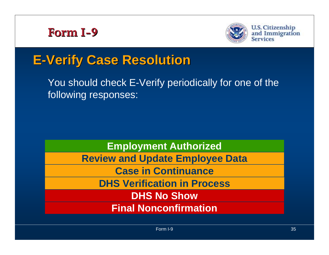



**U.S. Citizenship** and Immigration<br>Services

# **E -Verify Case Resolution Verify Case Resolution**

You should check E-Verify periodically for one of the following responses:

**Employment Authorized**

**Review and Update Employee Data**

**Case in Continuance**

**DHS Verification in Process**

**DHS No Show**

**Final Nonconfirmation**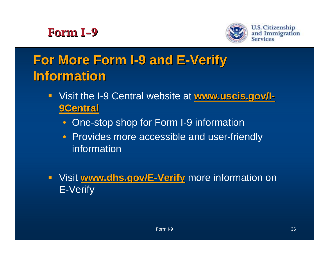



# **For More Form I For More Form I -9 and E 9 and E -Verify Information Information**

- **E** Visit the I-9 Central website at **www.uscis.gov/I - 9Central 9Central**
	- One-stop shop for Form I-9 information
	- Provides more accessible and user-friendly information
- **UPE: WWW.dhs.gov/E-Verify** more information on E-Verify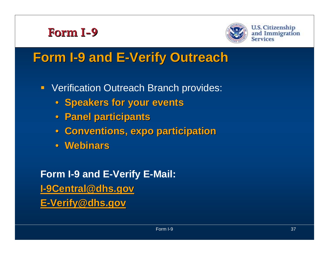



**U.S. Citizenship** and Immigration Services

# **Form I -9 and E 9 and E -Verify Outreach Verify Outreach**

- **Verification Outreach Branch provides:** 
	- **Speakers for your events**
	- **Panel participants Panel participants**
	- **Conventions, expo participation Conventions, expo participation**
	- Webinars

**Form I-9 and E-Verify E-Mail: I-9Central@dhs.gov 9Central@dhs.gov E -Verify@dhs.gov Verify@dhs.gov**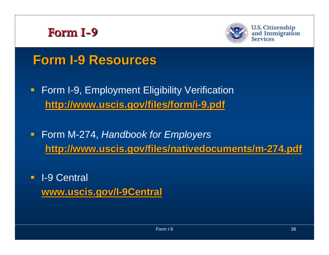



**U.S. Citizenship** and Immigration Services

# **Form I -9 Resources 9 Resources**

- **Form I-9, Employment Eligibility Verification http://www.uscis.gov/files/form/i http://www.uscis.gov/files/form/i -9.pdf**
- Form M-274, *Handbook for Employers* **http://www.uscis.gov/files/nativedocuments/m http://www.uscis.gov/files/nativedocuments/m -274.pdf 274.pdf**
- **I**-9 Central **www.uscis.gov/I www.uscis.gov/I -9Central 9Central**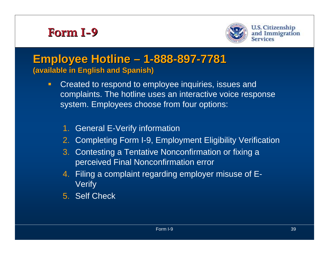

#### **Employee Hotline** · **– 1 -888 -897 -7781 (available in English and Spanish) (available in English and Spanish)**

- $\blacksquare$  Created to respond to employee inquiries, issues and complaints. The hotline uses an interactive voice response system. Employees choose from four options:
	- 1. General E-Verify information
	- 2. Completing Form I-9, Employment Eligibility Verification
	- 3. Contesting a Tentative Nonconfirmation or fixing a perceived Final Nonconfirmation error
	- 4. Filing a complaint regarding employer misuse of E-**Verify**
	- 5. Self Check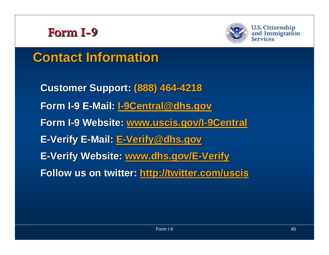



**U.S. Citizenship** and Immigration Services

# **Contact Information Contact Information**

**Customer Support: Customer Support: (888) 464 (888) 464 -4218 Form I -9 E -Mail: I-9Central@dhs.gov 9Central@dhs.gov Form I -9 Website: 9 Website: www.uscis.gov/I www.uscis.gov/I -9Central 9Central E -Verify E Verify E -Mail: E -Verify@dhs.gov Verify@dhs.gov E-Verify Website: www.dhs.gov/E-Verify Follow us on twitter: http://twitter.com/uscis**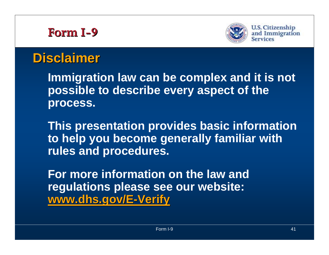

**U.S. Citizenship** and Immigration **Services** 

# **Disclaimer Disclaimer**

**Immigration law can be complex and it is not possible to describe every aspect of the process.**

**This presentation provides basic information to help you become generally familiar with rules and procedures.**

**For more information on the law and regulations please see our website: www.dhs.gov/E www.dhs.gov/E -Verify**